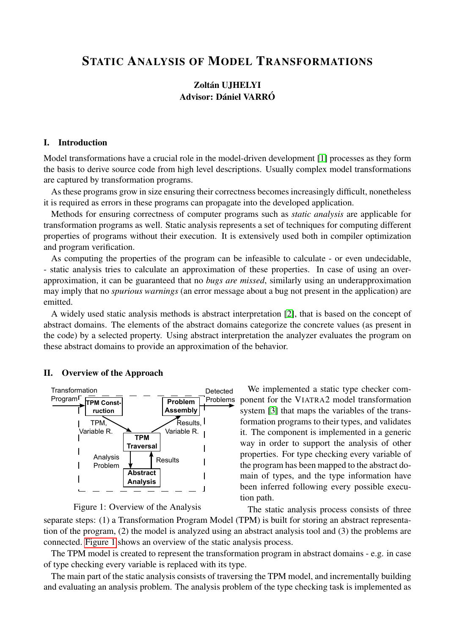# STATIC ANALYSIS OF MODEL TRANSFORMATIONS

# Zoltán UJHELYI Advisor: Dániel VARRÓ

# I. Introduction

Model transformations have a crucial role in the model-driven development [\[1\]](#page-1-0) processes as they form the basis to derive source code from high level descriptions. Usually complex model transformations are captured by transformation programs.

As these programs grow in size ensuring their correctness becomes increasingly difficult, nonetheless it is required as errors in these programs can propagate into the developed application.

Methods for ensuring correctness of computer programs such as *static analysis* are applicable for transformation programs as well. Static analysis represents a set of techniques for computing different properties of programs without their execution. It is extensively used both in compiler optimization and program verification.

As computing the properties of the program can be infeasible to calculate - or even undecidable, - static analysis tries to calculate an approximation of these properties. In case of using an overapproximation, it can be guaranteed that no *bugs are missed*, similarly using an underapproximation may imply that no *spurious warnings* (an error message about a bug not present in the application) are emitted.

A widely used static analysis methods is abstract interpretation [\[2\]](#page-1-1), that is based on the concept of abstract domains. The elements of the abstract domains categorize the concrete values (as present in the code) by a selected property. Using abstract interpretation the analyzer evaluates the program on these abstract domains to provide an approximation of the behavior.

#### II. Overview of the Approach



<span id="page-0-0"></span>Figure 1: Overview of the Analysis

We implemented a static type checker component for the VIATRA2 model transformation system [\[3\]](#page-1-2) that maps the variables of the transformation programs to their types, and validates it. The component is implemented in a generic way in order to support the analysis of other properties. For type checking every variable of the program has been mapped to the abstract domain of types, and the type information have been inferred following every possible execution path.

The static analysis process consists of three separate steps: (1) a Transformation Program Model (TPM) is built for storing an abstract representation of the program, (2) the model is analyzed using an abstract analysis tool and (3) the problems are connected. [Figure 1](#page-0-0) shows an overview of the static analysis process.

The TPM model is created to represent the transformation program in abstract domains - e.g. in case of type checking every variable is replaced with its type.

The main part of the static analysis consists of traversing the TPM model, and incrementally building and evaluating an analysis problem. The analysis problem of the type checking task is implemented as